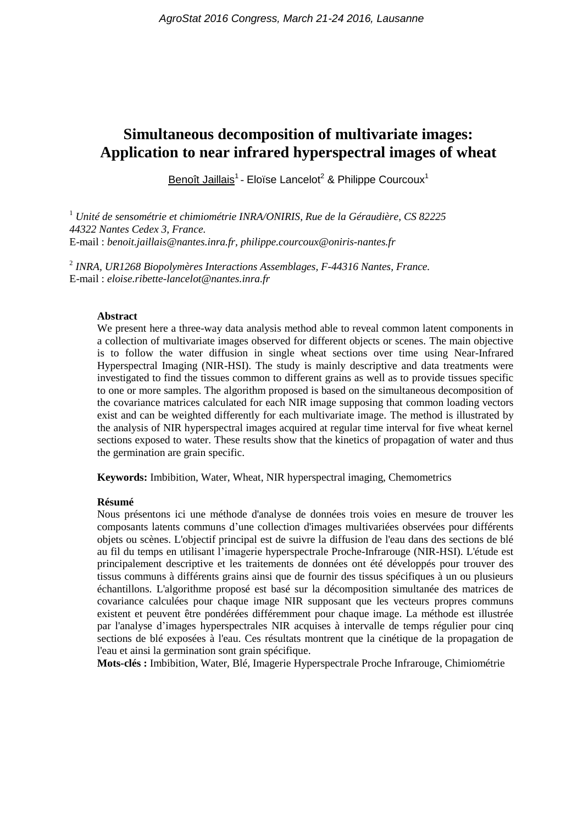# **Simultaneous decomposition of multivariate images: Application to near infrared hyperspectral images of wheat**

Benoît Jaillais<sup>1</sup> - Eloïse Lancelot<sup>2</sup> & Philippe Courcoux<sup>1</sup>

<sup>1</sup> *Unité de sensométrie et chimiométrie INRA/ONIRIS, Rue de la Géraudière, CS 82225 44322 Nantes Cedex 3, France.* E-mail : *benoit.jaillais@nantes.inra.fr, philippe.courcoux@oniris-nantes.fr*

2 *INRA, UR1268 Biopolymères Interactions Assemblages, F-44316 Nantes, France.* E-mail : *eloise.ribette-lancelot@nantes.inra.fr*

#### **Abstract**

We present here a three-way data analysis method able to reveal common latent components in a collection of multivariate images observed for different objects or scenes. The main objective is to follow the water diffusion in single wheat sections over time using Near-Infrared Hyperspectral Imaging (NIR-HSI). The study is mainly descriptive and data treatments were investigated to find the tissues common to different grains as well as to provide tissues specific to one or more samples. The algorithm proposed is based on the simultaneous decomposition of the covariance matrices calculated for each NIR image supposing that common loading vectors exist and can be weighted differently for each multivariate image. The method is illustrated by the analysis of NIR hyperspectral images acquired at regular time interval for five wheat kernel sections exposed to water. These results show that the kinetics of propagation of water and thus the germination are grain specific.

**Keywords:** Imbibition, Water, Wheat, NIR hyperspectral imaging, Chemometrics

#### **Résumé**

Nous présentons ici une méthode d'analyse de données trois voies en mesure de trouver les composants latents communs d'une collection d'images multivariées observées pour différents objets ou scènes. L'objectif principal est de suivre la diffusion de l'eau dans des sections de blé au fil du temps en utilisant l'imagerie hyperspectrale Proche-Infrarouge (NIR-HSI). L'étude est principalement descriptive et les traitements de données ont été développés pour trouver des tissus communs à différents grains ainsi que de fournir des tissus spécifiques à un ou plusieurs échantillons. L'algorithme proposé est basé sur la décomposition simultanée des matrices de covariance calculées pour chaque image NIR supposant que les vecteurs propres communs existent et peuvent être pondérées différemment pour chaque image. La méthode est illustrée par l'analyse d'images hyperspectrales NIR acquises à intervalle de temps régulier pour cinq sections de blé exposées à l'eau. Ces résultats montrent que la cinétique de la propagation de l'eau et ainsi la germination sont grain spécifique.

**Mots-clés :** Imbibition, Water, Blé, Imagerie Hyperspectrale Proche Infrarouge, Chimiométrie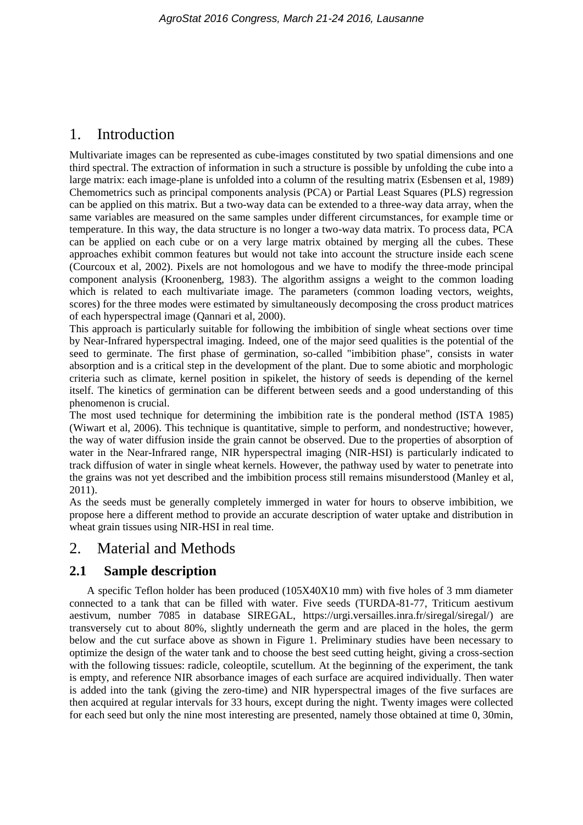## 1. Introduction

Multivariate images can be represented as cube-images constituted by two spatial dimensions and one third spectral. The extraction of information in such a structure is possible by unfolding the cube into a large matrix: each image-plane is unfolded into a column of the resulting matrix (Esbensen et al, 1989) Chemometrics such as principal components analysis (PCA) or Partial Least Squares (PLS) regression can be applied on this matrix. But a two-way data can be extended to a three-way data array, when the same variables are measured on the same samples under different circumstances, for example time or temperature. In this way, the data structure is no longer a two-way data matrix. To process data, PCA can be applied on each cube or on a very large matrix obtained by merging all the cubes. These approaches exhibit common features but would not take into account the structure inside each scene (Courcoux et al, 2002). Pixels are not homologous and we have to modify the three-mode principal component analysis (Kroonenberg, 1983). The algorithm assigns a weight to the common loading which is related to each multivariate image. The parameters (common loading vectors, weights, scores) for the three modes were estimated by simultaneously decomposing the cross product matrices of each hyperspectral image (Qannari et al, 2000).

This approach is particularly suitable for following the imbibition of single wheat sections over time by Near-Infrared hyperspectral imaging. Indeed, one of the major seed qualities is the potential of the seed to germinate. The first phase of germination, so-called "imbibition phase", consists in water absorption and is a critical step in the development of the plant. Due to some abiotic and morphologic criteria such as climate, kernel position in spikelet, the history of seeds is depending of the kernel itself. The kinetics of germination can be different between seeds and a good understanding of this phenomenon is crucial.

The most used technique for determining the imbibition rate is the ponderal method (ISTA 1985) (Wiwart et al, 2006). This technique is quantitative, simple to perform, and nondestructive; however, the way of water diffusion inside the grain cannot be observed. Due to the properties of absorption of water in the Near-Infrared range, NIR hyperspectral imaging (NIR-HSI) is particularly indicated to track diffusion of water in single wheat kernels. However, the pathway used by water to penetrate into the grains was not yet described and the imbibition process still remains misunderstood (Manley et al, 2011).

As the seeds must be generally completely immerged in water for hours to observe imbibition, we propose here a different method to provide an accurate description of water uptake and distribution in wheat grain tissues using NIR-HSI in real time.

## 2. Material and Methods

## **2.1 Sample description**

A specific Teflon holder has been produced (105X40X10 mm) with five holes of 3 mm diameter connected to a tank that can be filled with water. Five seeds (TURDA-81-77, [Triticum aestivum](https://urgi.versailles.inra.fr/siregal/common/card.do?id=4898&dbName=common&className=genres.taxonomy.TaxonImpl)  [aestivum,](https://urgi.versailles.inra.fr/siregal/common/card.do?id=4898&dbName=common&className=genres.taxonomy.TaxonImpl) number 7085 in database SIREGAL, [https://urgi.versailles.inra.fr/siregal/siregal/\)](https://urgi.versailles.inra.fr/siregal/siregal/) are transversely cut to about 80%, slightly underneath the germ and are placed in the holes, the germ below and the cut surface above as shown in Figure 1. Preliminary studies have been necessary to optimize the design of the water tank and to choose the best seed cutting height, giving a cross-section with the following tissues: radicle, coleoptile, scutellum. At the beginning of the experiment, the tank is empty, and reference NIR absorbance images of each surface are acquired individually. Then water is added into the tank (giving the zero-time) and NIR hyperspectral images of the five surfaces are then acquired at regular intervals for 33 hours, except during the night. Twenty images were collected for each seed but only the nine most interesting are presented, namely those obtained at time 0, 30min,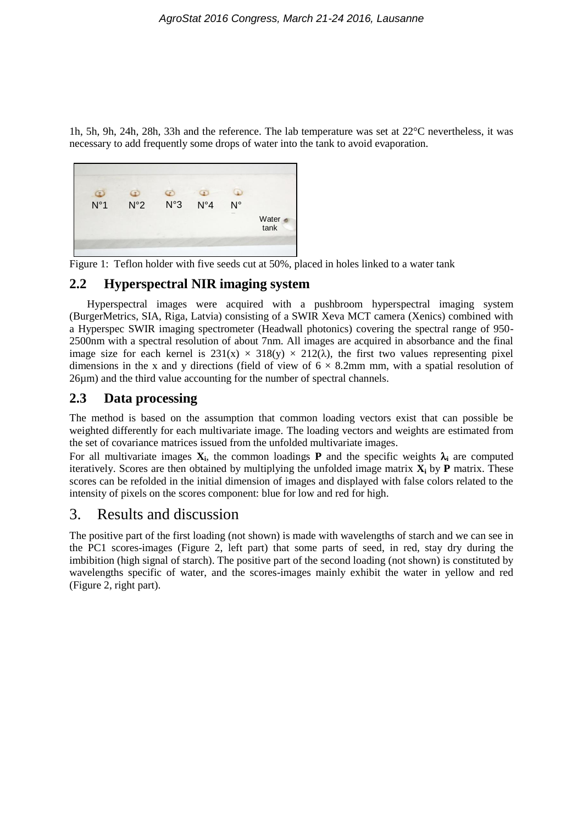1h, 5h, 9h, 24h, 28h, 33h and the reference. The lab temperature was set at 22°C nevertheless, it was necessary to add frequently some drops of water into the tank to avoid evaporation.



Figure 1: Teflon holder with five seeds cut at 50%, placed in holes linked to a water tank

### **2.2 Hyperspectral NIR imaging system**

Hyperspectral images were acquired with a pushbroom hyperspectral imaging system (BurgerMetrics, SIA, Riga, Latvia) consisting of a SWIR Xeva MCT camera (Xenics) combined with a Hyperspec SWIR imaging spectrometer (Headwall photonics) covering the spectral range of 950- 2500nm with a spectral resolution of about 7nm. All images are acquired in absorbance and the final image size for each kernel is  $231(x) \times 318(y) \times 212(\lambda)$ , the first two values representing pixel dimensions in the x and y directions (field of view of  $6 \times 8.2$ mm mm, with a spatial resolution of 26µm) and the third value accounting for the number of spectral channels.

### **2.3 Data processing**

The method is based on the assumption that common loading vectors exist that can possible be weighted differently for each multivariate image. The loading vectors and weights are estimated from the set of covariance matrices issued from the unfolded multivariate images.

For all multivariate images  $X_i$ , the common loadings **P** and the specific weights  $\lambda_i$  are computed iteratively. Scores are then obtained by multiplying the unfolded image matrix **X<sup>i</sup>** by **P** matrix. These scores can be refolded in the initial dimension of images and displayed with false colors related to the intensity of pixels on the scores component: blue for low and red for high.

## 3. Results and discussion

The positive part of the first loading (not shown) is made with wavelengths of starch and we can see in the PC1 scores-images (Figure 2, left part) that some parts of seed, in red, stay dry during the imbibition (high signal of starch). The positive part of the second loading (not shown) is constituted by wavelengths specific of water, and the scores-images mainly exhibit the water in yellow and red (Figure 2, right part).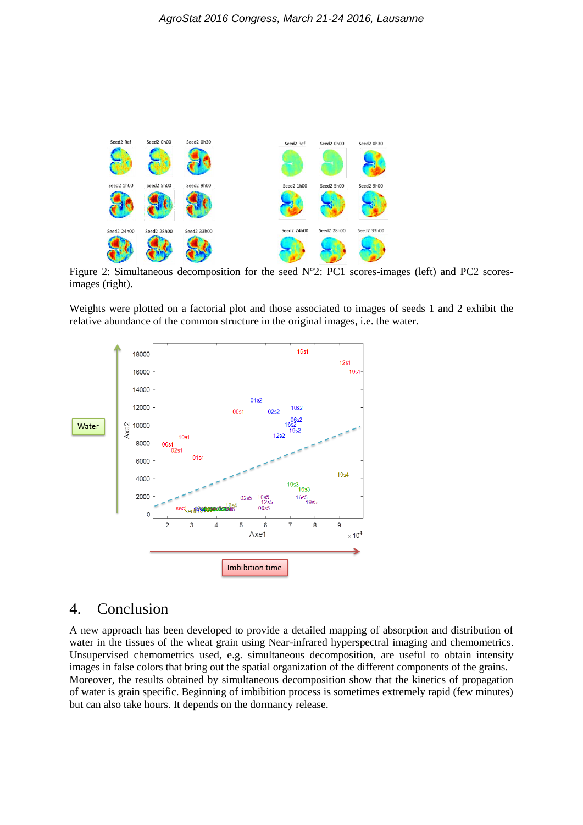

Figure 2: Simultaneous decomposition for the seed N°2: PC1 scores-images (left) and PC2 scoresimages (right).

Weights were plotted on a factorial plot and those associated to images of seeds 1 and 2 exhibit the relative abundance of the common structure in the original images, i.e. the water.



# 4. Conclusion

A new approach has been developed to provide a detailed mapping of absorption and distribution of water in the tissues of the wheat grain using Near-infrared hyperspectral imaging and chemometrics. Unsupervised chemometrics used, e.g. simultaneous decomposition, are useful to obtain intensity images in false colors that bring out the spatial organization of the different components of the grains. Moreover, the results obtained by simultaneous decomposition show that the kinetics of propagation of water is grain specific. Beginning of imbibition process is sometimes extremely rapid (few minutes) but can also take hours. It depends on the dormancy release.